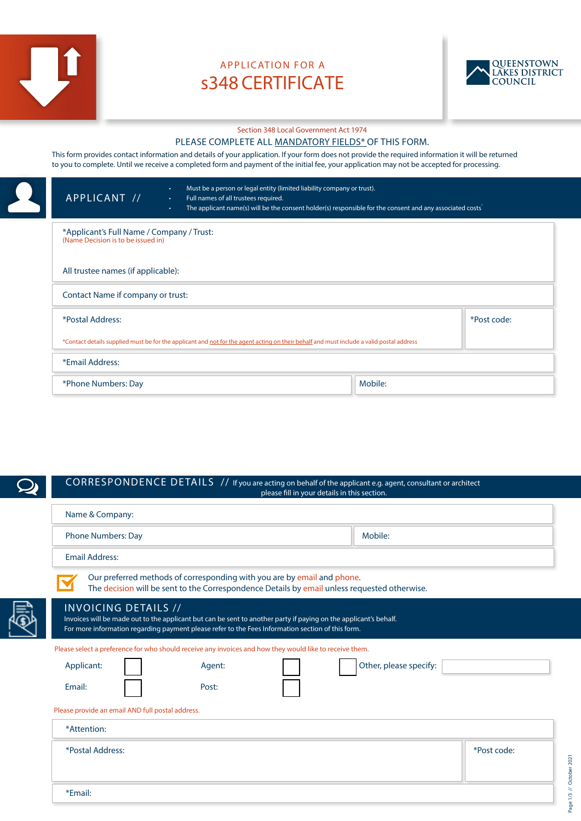

# APPLICATION FOR A s348 CERTIFICATE



#### Section 348 Local Government Act 1974

### PLEASE COMPLETE ALL MANDATORY FIELDS\* OF THIS FORM.

This form provides contact information and details of your application. If your form does not provide the required information it will be returned to you to complete. Until we receive a completed form and payment of the initial fee, your application may not be accepted for processing.

|  | Must be a person or legal entity (limited liability company or trust).<br>$\bullet$ .<br>APPLICANT //<br>Full names of all trustees required.<br>$\bullet$ .<br>The applicant name(s) will be the consent holder(s) responsible for the consent and any associated costs<br>$\bullet$ . |         |  |  |
|--|-----------------------------------------------------------------------------------------------------------------------------------------------------------------------------------------------------------------------------------------------------------------------------------------|---------|--|--|
|  | *Applicant's Full Name / Company / Trust:<br>(Name Decision is to be issued in)<br>All trustee names (if applicable):<br>Contact Name if company or trust:                                                                                                                              |         |  |  |
|  |                                                                                                                                                                                                                                                                                         |         |  |  |
|  |                                                                                                                                                                                                                                                                                         |         |  |  |
|  | *Postal Address:<br>*Post code:<br>*Contact details supplied must be for the applicant and not for the agent acting on their behalf and must include a valid postal address<br>*Email Address:                                                                                          |         |  |  |
|  |                                                                                                                                                                                                                                                                                         |         |  |  |
|  |                                                                                                                                                                                                                                                                                         |         |  |  |
|  | *Phone Numbers: Day                                                                                                                                                                                                                                                                     | Mobile: |  |  |

CORRESPONDENCE DETAILS // If you are acting on behalf of the applicant e.g. agent, consultant or architect please fill in your details in this section.

| Name & Company:                                                                                                                                                                                                                                      |                        |             |  |  |  |
|------------------------------------------------------------------------------------------------------------------------------------------------------------------------------------------------------------------------------------------------------|------------------------|-------------|--|--|--|
| Phone Numbers: Day                                                                                                                                                                                                                                   | Mobile:                |             |  |  |  |
| <b>Email Address:</b>                                                                                                                                                                                                                                |                        |             |  |  |  |
| Our preferred methods of corresponding with you are by email and phone.<br>The decision will be sent to the Correspondence Details by email unless requested otherwise.                                                                              |                        |             |  |  |  |
| <b>INVOICING DETAILS //</b><br>Invoices will be made out to the applicant but can be sent to another party if paying on the applicant's behalf.<br>For more information regarding payment please refer to the Fees Information section of this form. |                        |             |  |  |  |
| Please select a preference for who should receive any invoices and how they would like to receive them.                                                                                                                                              |                        |             |  |  |  |
| Applicant:<br>Agent:                                                                                                                                                                                                                                 | Other, please specify: |             |  |  |  |
| Email:<br>Post:                                                                                                                                                                                                                                      |                        |             |  |  |  |
| Please provide an email AND full postal address.                                                                                                                                                                                                     |                        |             |  |  |  |
| *Attention:                                                                                                                                                                                                                                          |                        |             |  |  |  |
| *Postal Address:                                                                                                                                                                                                                                     |                        | *Post code: |  |  |  |
| *Email:                                                                                                                                                                                                                                              |                        |             |  |  |  |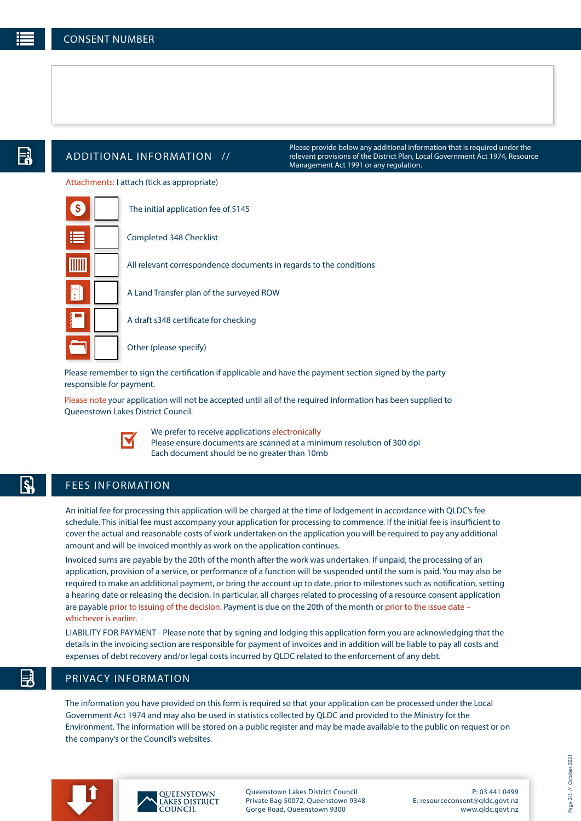$|\boldsymbol{\xi}|$ 

## ADDITIONAL INFORMATION //

Please provide below any additional information that is required under the relevant provisions of the District Plan, Local Government Act 1974, Resource Management Act 1991 or any regulation.

Attachments: I attach (tick as appropriate)

|   | The initial application fee of \$145                               |
|---|--------------------------------------------------------------------|
|   | Completed 348 Checklist                                            |
|   | All relevant correspondence documents in regards to the conditions |
| Ħ | A Land Transfer plan of the surveyed ROW                           |
|   | A draft s348 certificate for checking                              |
|   | Other (please specify)                                             |

Please remember to sign the certification if applicable and have the payment section signed by the party responsible for payment.

Please note your application will not be accepted until all of the required information has been supplied to Queenstown Lakes District Council.



We prefer to receive applications electronically Please ensure documents are scanned at a minimum resolution of 300 dpi Each document should be no greater than 10mb

## FEES INFORMATION

An initial fee for processing this application will be charged at the time of lodgement in accordance with QLDC's fee schedule. This initial fee must accompany your application for processing to commence. If the initial fee is insufficient to cover the actual and reasonable costs of work undertaken on the application you will be required to pay any additional amount and will be invoiced monthly as work on the application continues.

Invoiced sums are payable by the 20th of the month after the work was undertaken. If unpaid, the processing of an application, provision of a service, or performance of a function will be suspended until the sum is paid. You may also be required to make an additional payment, or bring the account up to date, prior to milestones such as notification, setting a hearing date or releasing the decision. In particular, all charges related to processing of a resource consent application are payable prior to issuing of the decision. Payment is due on the 20th of the month or prior to the issue date – whichever is earlier.

LIABILITY FOR PAYMENT - Please note that by signing and lodging this application form you are acknowledging that the details in the invoicing section are responsible for payment of invoices and in addition will be liable to pay all costs and expenses of debt recovery and/or legal costs incurred by QLDC related to the enforcement of any debt.

## PRIVACY INFORMATION

The information you have provided on this form is required so that your application can be processed under the Local Government Act 1974 and may also be used in statistics collected by QLDC and provided to the Ministry for the Environment. The information will be stored on a public register and may be made available to the public on request or on the company's or the Council's websites.





Queenstown Lakes District Council Private Bag 50072, Queenstown 9348 Gorge Road, Queenstown 9300